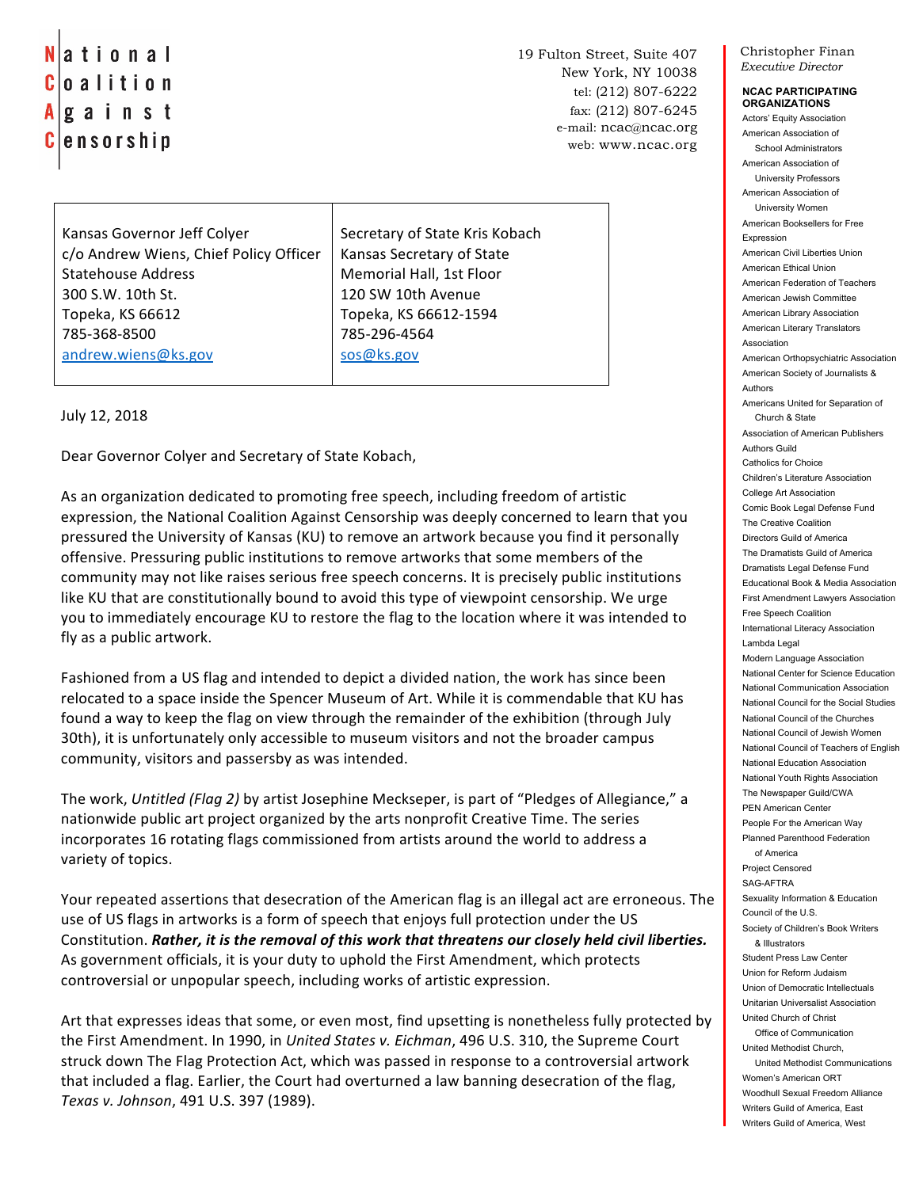ational C oalition A gainst C |ensorship

19 Fulton Street, Suite 407 New York, NY 10038 tel: (212) 807-6222 fax: (212) 807-6245 e-mail: ncac@ncac.org web: www.ncac.org

Kansas Governor Jeff Colyer c/o Andrew Wiens, Chief Policy Officer Statehouse Address 300 S.W. 10th St. Topeka, KS 66612 785-368-8500 andrew.wiens@ks.gov

Secretary of State Kris Kobach Kansas Secretary of State Memorial Hall, 1st Floor 120 SW 10th Avenue Topeka, KS 66612-1594 785-296-4564 sos@ks.gov

July 12, 2018

Dear Governor Colyer and Secretary of State Kobach,

As an organization dedicated to promoting free speech, including freedom of artistic expression, the National Coalition Against Censorship was deeply concerned to learn that you pressured the University of Kansas (KU) to remove an artwork because you find it personally offensive. Pressuring public institutions to remove artworks that some members of the community may not like raises serious free speech concerns. It is precisely public institutions like KU that are constitutionally bound to avoid this type of viewpoint censorship. We urge you to immediately encourage KU to restore the flag to the location where it was intended to fly as a public artwork.

Fashioned from a US flag and intended to depict a divided nation, the work has since been relocated to a space inside the Spencer Museum of Art. While it is commendable that KU has found a way to keep the flag on view through the remainder of the exhibition (through July 30th), it is unfortunately only accessible to museum visitors and not the broader campus community, visitors and passersby as was intended.

The work, Untitled (Flag 2) by artist Josephine Meckseper, is part of "Pledges of Allegiance," a nationwide public art project organized by the arts nonprofit Creative Time. The series incorporates 16 rotating flags commissioned from artists around the world to address a variety of topics.

Your repeated assertions that desecration of the American flag is an illegal act are erroneous. The use of US flags in artworks is a form of speech that enjoys full protection under the US Constitution. *Rather, it is the removal of this work that threatens our closely held civil liberties.* As government officials, it is your duty to uphold the First Amendment, which protects controversial or unpopular speech, including works of artistic expression.

Art that expresses ideas that some, or even most, find upsetting is nonetheless fully protected by the First Amendment. In 1990, in *United States v. Eichman*, 496 U.S. 310, the Supreme Court struck down The Flag Protection Act, which was passed in response to a controversial artwork that included a flag. Earlier, the Court had overturned a law banning desecration of the flag, *Texas v. Johnson*, 491 U.S. 397 (1989).

Christopher Finan *Executive Director*

## **NCAC PARTICIPATING ORGANIZATIONS**

Actors' Equity Association American Association of School Administrators American Association of University Professors American Association of University Women American Booksellers for Free Expression American Civil Liberties Union American Ethical Union American Federation of Teachers American Jewish Committee American Library Association American Literary Translators Association American Orthopsychiatric Association American Society of Journalists & Authors Americans United for Separation of Church & State Association of American Publishers Authors Guild Catholics for Choice Children's Literature Association College Art Association Comic Book Legal Defense Fund The Creative Coalition Directors Guild of America The Dramatists Guild of America Dramatists Legal Defense Fund Educational Book & Media Association First Amendment Lawyers Association Free Speech Coalition International Literacy Association Lambda Legal Modern Language Association National Center for Science Education National Communication Association National Council for the Social Studies National Council of the Churches National Council of Jewish Women National Council of Teachers of English National Education Association National Youth Rights Association The Newspaper Guild/CWA PEN American Center People For the American Way Planned Parenthood Federation of America Project Censored SAG-AFTRA Sexuality Information & Education Council of the U.S. Society of Children's Book Writers & Illustrators Student Press Law Center Union for Reform Judaism Union of Democratic Intellectuals Unitarian Universalist Association United Church of Christ Office of Communication United Methodist Church, United Methodist Communications Women's American ORT Woodhull Sexual Freedom Alliance Writers Guild of America, East Writers Guild of America, West